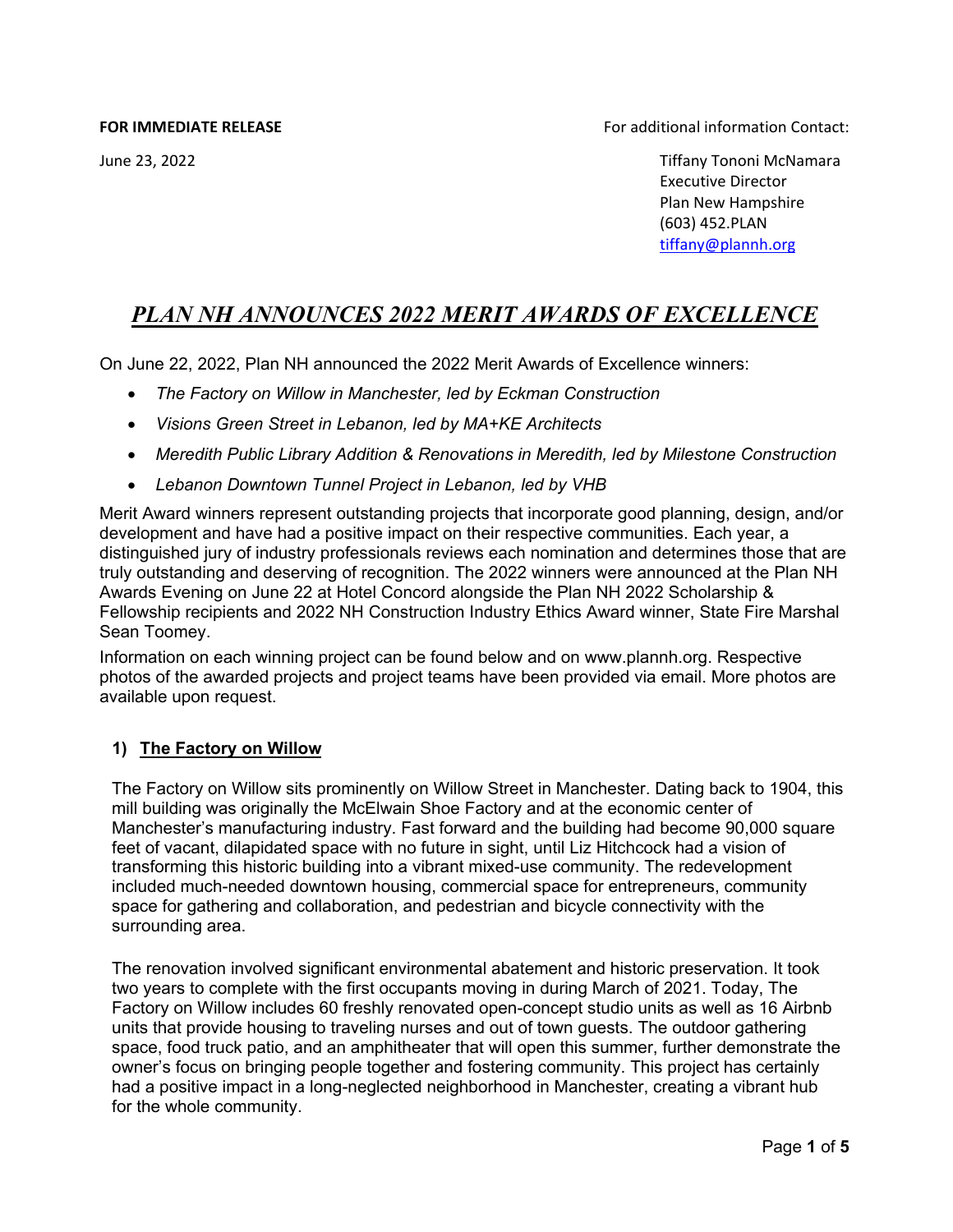**FOR IMMEDIATE RELEASE** FOR IMMEDIATE RELEASE **FOR IMMEDIATE RELEASE** 

 June 23, 2022 Tiffany Tononi McNamara Executive Director Plan New Hampshire (603) 452.PLAN [tiffany@plannh.org](mailto:tiffany@plannh.org)

# *PLAN NH ANNOUNCES 2022 MERIT AWARDS OF EXCELLENCE*

On June 22, 2022, Plan NH announced the 2022 Merit Awards of Excellence winners:

- *The Factory on Willow in Manchester, led by Eckman Construction*
- *Visions Green Street in Lebanon, led by MA+KE Architects*
- *Meredith Public Library Addition & Renovations in Meredith, led by Milestone Construction*
- *Lebanon Downtown Tunnel Project in Lebanon, led by VHB*

Merit Award winners represent outstanding projects that incorporate good planning, design, and/or development and have had a positive impact on their respective communities. Each year, a distinguished jury of industry professionals reviews each nomination and determines those that are truly outstanding and deserving of recognition. The 2022 winners were announced at the Plan NH Awards Evening on June 22 at Hotel Concord alongside the Plan NH 2022 Scholarship & Fellowship recipients and 2022 NH Construction Industry Ethics Award winner, State Fire Marshal Sean Toomey.

Information on each winning project can be found below and on www.plannh.org. Respective photos of the awarded projects and project teams have been provided via email. More photos are available upon request.

# **1) The Factory on Willow**

The Factory on Willow sits prominently on Willow Street in Manchester. Dating back to 1904, this mill building was originally the McElwain Shoe Factory and at the economic center of Manchester's manufacturing industry. Fast forward and the building had become 90,000 square feet of vacant, dilapidated space with no future in sight, until Liz Hitchcock had a vision of transforming this historic building into a vibrant mixed-use community. The redevelopment included much-needed downtown housing, commercial space for entrepreneurs, community space for gathering and collaboration, and pedestrian and bicycle connectivity with the surrounding area.

The renovation involved significant environmental abatement and historic preservation. It took two years to complete with the first occupants moving in during March of 2021. Today, The Factory on Willow includes 60 freshly renovated open-concept studio units as well as 16 Airbnb units that provide housing to traveling nurses and out of town guests. The outdoor gathering space, food truck patio, and an amphitheater that will open this summer, further demonstrate the owner's focus on bringing people together and fostering community. This project has certainly had a positive impact in a long-neglected neighborhood in Manchester, creating a vibrant hub for the whole community.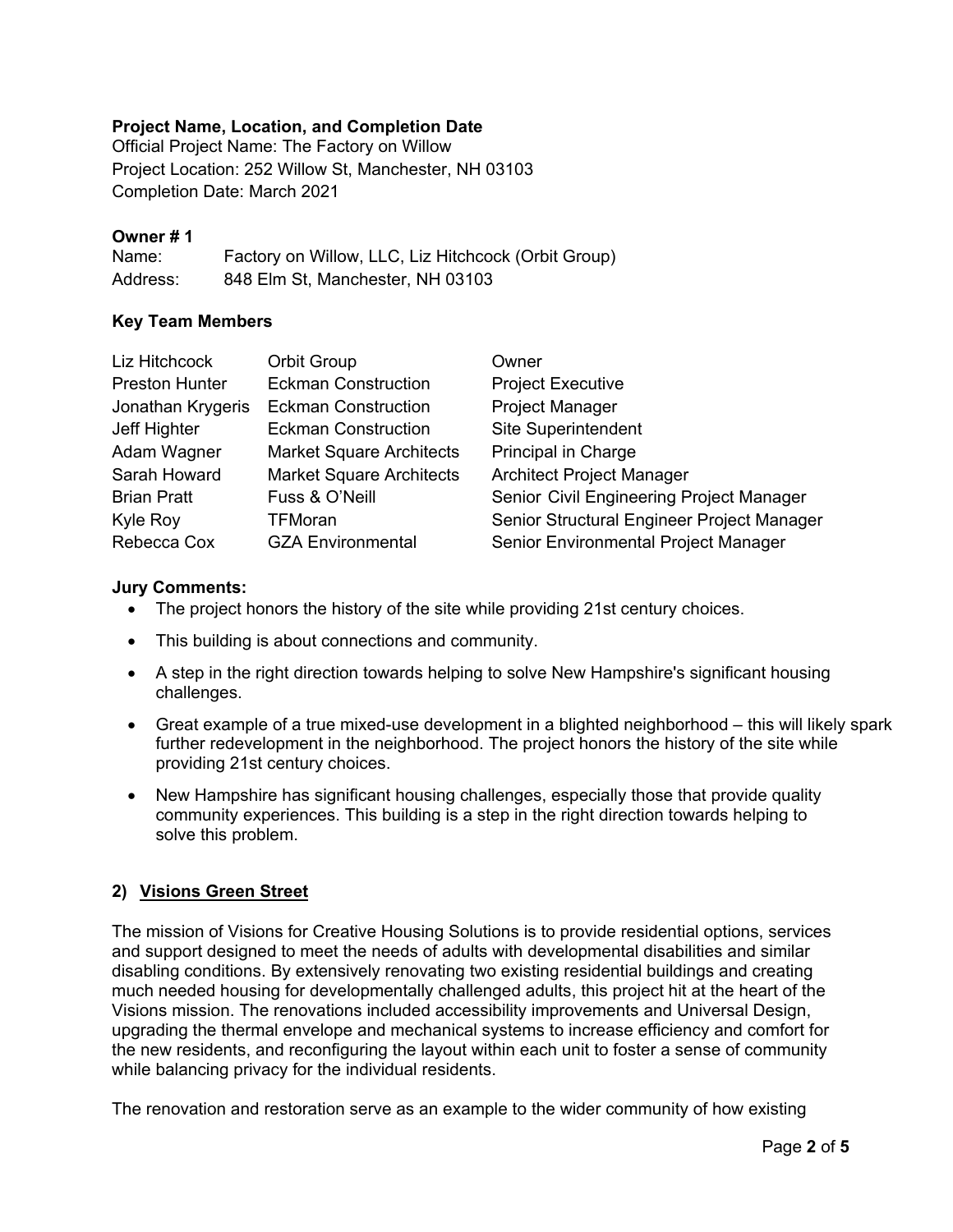# **Project Name, Location, and Completion Date**

Official Project Name: The Factory on Willow Project Location: 252 Willow St, Manchester, NH 03103 Completion Date: March 2021

# **Owner # 1**

Name: Factory on Willow, LLC, Liz Hitchcock (Orbit Group) Address: 848 Elm St, Manchester, NH 03103

# **Key Team Members**

| Liz Hitchcock         | <b>Orbit Group</b>              | Owner                                      |
|-----------------------|---------------------------------|--------------------------------------------|
| <b>Preston Hunter</b> | <b>Eckman Construction</b>      | <b>Project Executive</b>                   |
| Jonathan Krygeris     | <b>Eckman Construction</b>      | <b>Project Manager</b>                     |
| Jeff Highter          | <b>Eckman Construction</b>      | <b>Site Superintendent</b>                 |
| Adam Wagner           | <b>Market Square Architects</b> | Principal in Charge                        |
| Sarah Howard          | <b>Market Square Architects</b> | <b>Architect Project Manager</b>           |
| <b>Brian Pratt</b>    | Fuss & O'Neill                  | Senior Civil Engineering Project Manager   |
| Kyle Roy              | <b>TFMoran</b>                  | Senior Structural Engineer Project Manager |
| Rebecca Cox           | <b>GZA Environmental</b>        | Senior Environmental Project Manager       |

# **Jury Comments:**

- The project honors the history of the site while providing 21st century choices.
- This building is about connections and community.
- A step in the right direction towards helping to solve New Hampshire's significant housing challenges.
- Great example of a true mixed-use development in a blighted neighborhood this will likely spark further redevelopment in the neighborhood. The project honors the history of the site while providing 21st century choices.
- New Hampshire has significant housing challenges, especially those that provide quality community experiences. This building is a step in the right direction towards helping to solve this problem.

# **2) Visions Green Street**

The mission of Visions for Creative Housing Solutions is to provide residential options, services and support designed to meet the needs of adults with developmental disabilities and similar disabling conditions. By extensively renovating two existing residential buildings and creating much needed housing for developmentally challenged adults, this project hit at the heart of the Visions mission. The renovations included accessibility improvements and Universal Design, upgrading the thermal envelope and mechanical systems to increase efficiency and comfort for the new residents, and reconfiguring the layout within each unit to foster a sense of community while balancing privacy for the individual residents.

The renovation and restoration serve as an example to the wider community of how existing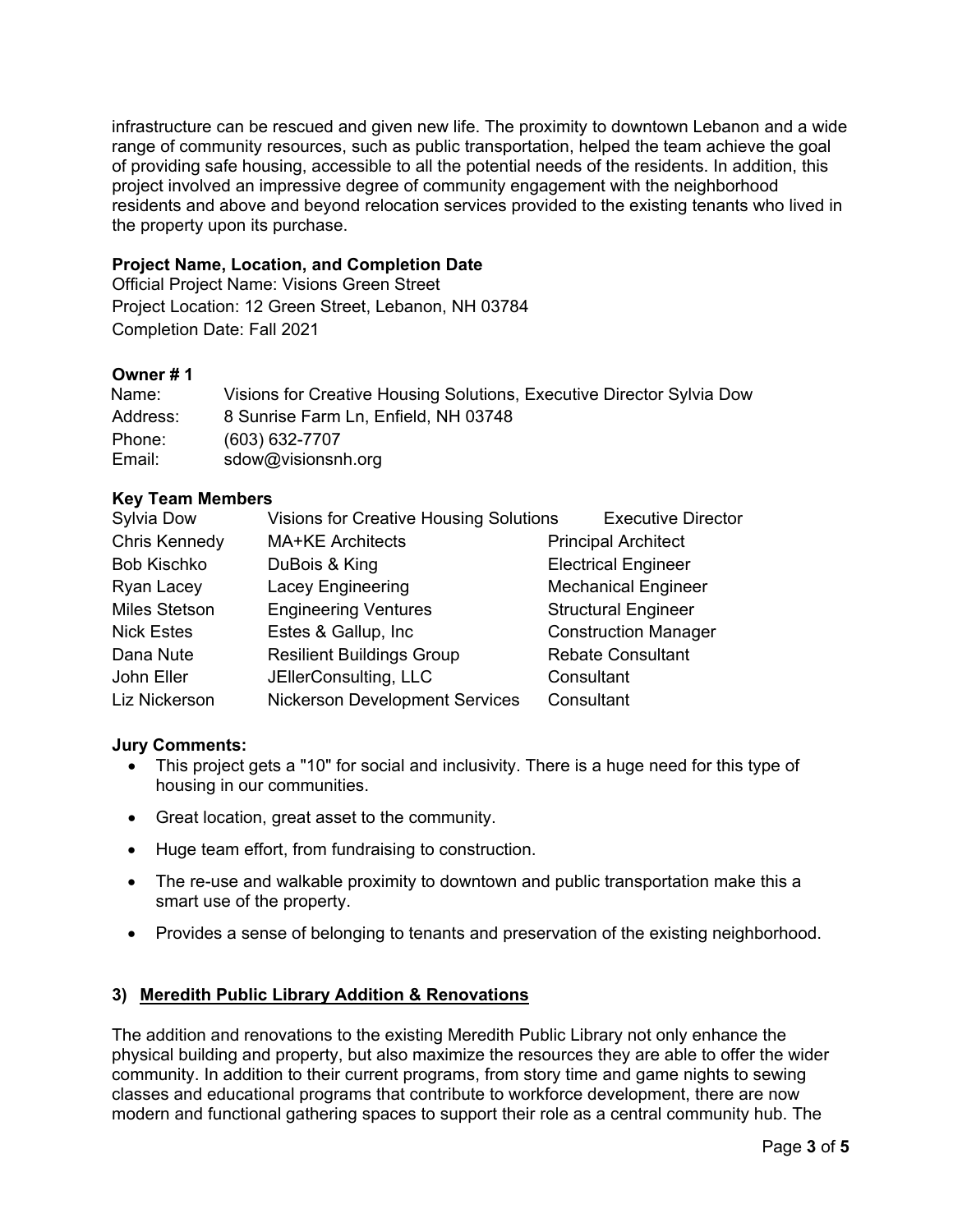infrastructure can be rescued and given new life. The proximity to downtown Lebanon and a wide range of community resources, such as public transportation, helped the team achieve the goal of providing safe housing, accessible to all the potential needs of the residents. In addition, this project involved an impressive degree of community engagement with the neighborhood residents and above and beyond relocation services provided to the existing tenants who lived in the property upon its purchase.

#### **Project Name, Location, and Completion Date**

Official Project Name: Visions Green Street Project Location: 12 Green Street, Lebanon, NH 03784 Completion Date: Fall 2021

# **Owner # 1**

| Name:    | Visions for Creative Housing Solutions, Executive Director Sylvia Dow |
|----------|-----------------------------------------------------------------------|
| Address: | 8 Sunrise Farm Ln, Enfield, NH 03748                                  |
| Phone:   | (603) 632-7707                                                        |
| Email:   | sdow@visionsnh.org                                                    |

# **Key Team Members**

| Sylvia Dow           | <b>Visions for Creative Housing Solutions</b> | <b>Executive Director</b>   |
|----------------------|-----------------------------------------------|-----------------------------|
| <b>Chris Kennedy</b> | <b>MA+KE Architects</b>                       | <b>Principal Architect</b>  |
| <b>Bob Kischko</b>   | DuBois & King                                 | <b>Electrical Engineer</b>  |
| Ryan Lacey           | Lacey Engineering                             | <b>Mechanical Engineer</b>  |
| <b>Miles Stetson</b> | <b>Engineering Ventures</b>                   | <b>Structural Engineer</b>  |
| <b>Nick Estes</b>    | Estes & Gallup, Inc.                          | <b>Construction Manager</b> |
| Dana Nute            | <b>Resilient Buildings Group</b>              | <b>Rebate Consultant</b>    |
| John Eller           | JEllerConsulting, LLC                         | Consultant                  |
| Liz Nickerson        | <b>Nickerson Development Services</b>         | Consultant                  |

#### **Jury Comments:**

- This project gets a "10" for social and inclusivity. There is a huge need for this type of housing in our communities.
- Great location, great asset to the community.
- Huge team effort, from fundraising to construction.
- The re-use and walkable proximity to downtown and public transportation make this a smart use of the property.
- Provides a sense of belonging to tenants and preservation of the existing neighborhood.

# **3) Meredith Public Library Addition & Renovations**

The addition and renovations to the existing Meredith Public Library not only enhance the physical building and property, but also maximize the resources they are able to offer the wider community. In addition to their current programs, from story time and game nights to sewing classes and educational programs that contribute to workforce development, there are now modern and functional gathering spaces to support their role as a central community hub. The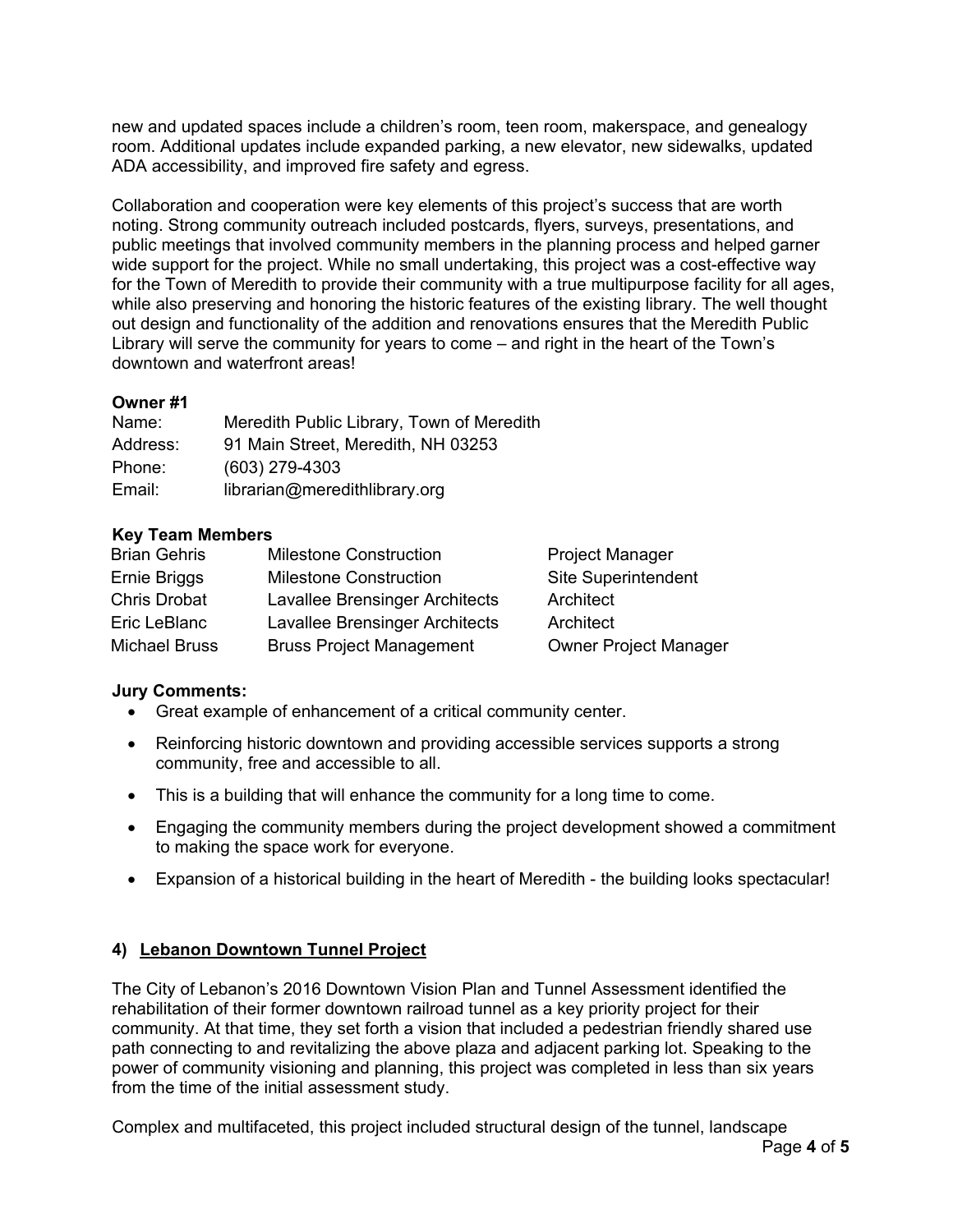new and updated spaces include a children's room, teen room, makerspace, and genealogy room. Additional updates include expanded parking, a new elevator, new sidewalks, updated ADA accessibility, and improved fire safety and egress.

Collaboration and cooperation were key elements of this project's success that are worth noting. Strong community outreach included postcards, flyers, surveys, presentations, and public meetings that involved community members in the planning process and helped garner wide support for the project. While no small undertaking, this project was a cost-effective way for the Town of Meredith to provide their community with a true multipurpose facility for all ages, while also preserving and honoring the historic features of the existing library. The well thought out design and functionality of the addition and renovations ensures that the Meredith Public Library will serve the community for years to come – and right in the heart of the Town's downtown and waterfront areas!

# **Owner #1**

| Name:    | Meredith Public Library, Town of Meredith |
|----------|-------------------------------------------|
| Address: | 91 Main Street, Meredith, NH 03253        |
| Phone:   | $(603)$ 279-4303                          |
| Email:   | librarian@meredithlibrary.org             |

#### **Key Team Members**

| <b>Brian Gehris</b>  | <b>Milestone Construction</b>   | <b>Project Manager</b>       |
|----------------------|---------------------------------|------------------------------|
| Ernie Briggs         | <b>Milestone Construction</b>   | <b>Site Superintendent</b>   |
| <b>Chris Drobat</b>  | Lavallee Brensinger Architects  | Architect                    |
| Eric LeBlanc         | Lavallee Brensinger Architects  | Architect                    |
| <b>Michael Bruss</b> | <b>Bruss Project Management</b> | <b>Owner Project Manager</b> |

#### **Jury Comments:**

- Great example of enhancement of a critical community center.
- Reinforcing historic downtown and providing accessible services supports a strong community, free and accessible to all.
- This is a building that will enhance the community for a long time to come.
- Engaging the community members during the project development showed a commitment to making the space work for everyone.
- Expansion of a historical building in the heart of Meredith the building looks spectacular!

#### **4) Lebanon Downtown Tunnel Project**

The City of Lebanon's 2016 Downtown Vision Plan and Tunnel Assessment identified the rehabilitation of their former downtown railroad tunnel as a key priority project for their community. At that time, they set forth a vision that included a pedestrian friendly shared use path connecting to and revitalizing the above plaza and adjacent parking lot. Speaking to the power of community visioning and planning, this project was completed in less than six years from the time of the initial assessment study.

Complex and multifaceted, this project included structural design of the tunnel, landscape